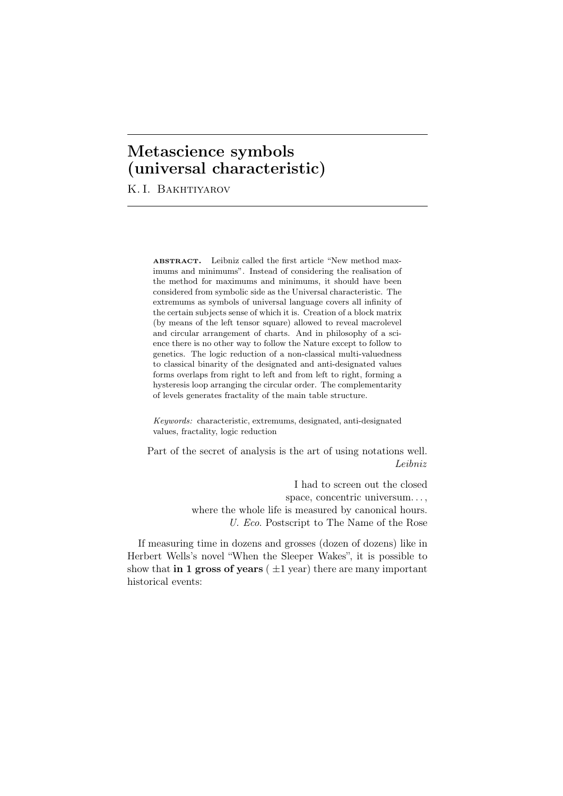# **Metascience symbols (universal characteristic)**

K. I. Bakhtiyarov

ABSTRACT. Leibniz called the first article "New method maximums and minimums". Instead of considering the realisation of the method for maximums and minimums, it should have been considered from symbolic side as the Universal characteristic. The extremums as symbols of universal language covers all infinity of the certain subjects sense of which it is. Creation of a block matrix (by means of the left tensor square) allowed to reveal macrolevel and circular arrangement of charts. And in philosophy of a science there is no other way to follow the Nature except to follow to genetics. The logic reduction of a non-classical multi-valuedness to classical binarity of the designated and anti-designated values forms overlaps from right to left and from left to right, forming a hysteresis loop arranging the circular order. The complementarity of levels generates fractality of the main table structure.

*Keywords:* characteristic, extremums, designated, anti-designated values, fractality, logic reduction

Part of the secret of analysis is the art of using notations well. *Leibniz*

> I had to screen out the closed space, concentric universum. . . , where the whole life is measured by canonical hours. *U. Eco*. Postscript to The Name of the Rose

If measuring time in dozens and grosses (dozen of dozens) like in Herbert Wells's novel "When the Sleeper Wakes", it is possible to show that **in 1 gross of years**  $(\pm 1 \text{ year})$  there are many important historical events: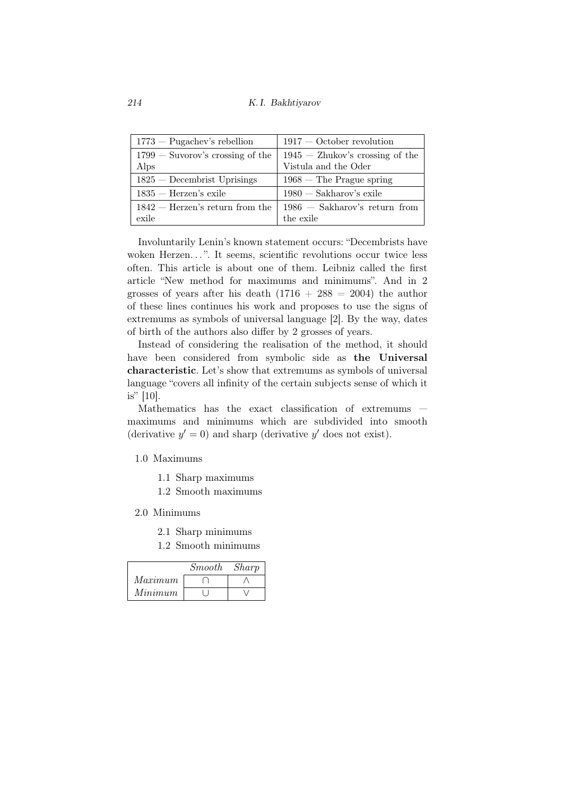*214 K. I. Bakhtiyarov*

| $1773$ - Pugachev's rebellion      | $1917 - October revolution$       |
|------------------------------------|-----------------------------------|
| $1799 -$ Suvorov's crossing of the | $1945 -$ Zhukov's crossing of the |
| Alps                               | Vistula and the Oder              |
| $1825 -$ Decembrist Uprisings      | $1968$ – The Prague spring        |
| $1835$ — Herzen's exile            | $1980 - Sakharov's exile$         |
| $1842$ – Herzen's return from the  | $1986 - Sakharov's return from$   |
| exile                              | the exile                         |

Involuntarily Lenin's known statement occurs: "Decembrists have woken Herzen...". It seems, scientific revolutions occur twice less often. This article is about one of them. Leibniz called the first article "New method for maximums and minimums". And in 2 grosses of years after his death  $(1716 + 288 = 2004)$  the author of these lines continues his work and proposes to use the signs of extremums as symbols of universal language [2]. By the way, dates of birth of the authors also differ by 2 grosses of years.

Instead of considering the realisation of the method, it should have been considered from symbolic side as the Universal characteristic. Let's show that extremums as symbols of universal language "covers all infinity of the certain subjects sense of which it is" [10].

Mathematics has the exact classification of extremums maximums and minimums which are subdivided into smooth (derivative  $y' = 0$ ) and sharp (derivative  $y'$  does not exist).

### 1.0 Maximums

- 1.1 Sharp maximums
- 1.2 Smooth maximums
- 2.0 Minimums
	- 2.1 Sharp minimums
	- 1.2 Smooth minimums

|         | <i>Smooth</i> | Sharp |
|---------|---------------|-------|
| Maximum |               |       |
| Minimum |               |       |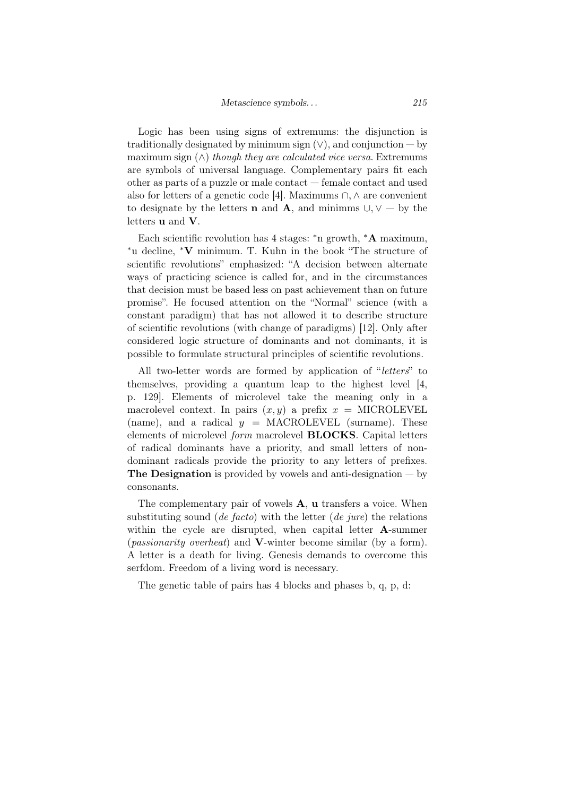Logic has been using signs of extremums: the disjunction is traditionally designated by minimum sign  $(V)$ , and conjunction — by maximum sign  $(\wedge)$  *though they are calculated vice versa*. Extremums are symbols of universal language. Complementary pairs fit each other as parts of a puzzle or male contact — female contact and used also for letters of a genetic code [4]. Maximums *∩, ∧* are convenient to designate by the letters **n** and **A**, and minimms  $\cup$ ,  $\vee$  — by the letters u and V.

Each scientific revolution has 4 stages: *∗*n growth, *∗*A maximum, *∗*u decline, *∗*V minimum. T. Kuhn in the book "The structure of scientific revolutions" emphasized: "A decision between alternate ways of practicing science is called for, and in the circumstances that decision must be based less on past achievement than on future promise". He focused attention on the "Normal" science (with a constant paradigm) that has not allowed it to describe structure of scientific revolutions (with change of paradigms) [12]. Only after considered logic structure of dominants and not dominants, it is possible to formulate structural principles of scientific revolutions.

All two-letter words are formed by application of "*letters*" to themselves, providing a quantum leap to the highest level [4, p. 129]. Elements of microlevel take the meaning only in a macrolevel context. In pairs  $(x, y)$  a prefix  $x =$  MICROLEVEL (name), and a radical  $y = \text{MACROLEVEL}$  (surname). These elements of microlevel *form* macrolevel BLOCKS. Capital letters of radical dominants have a priority, and small letters of nondominant radicals provide the priority to any letters of prefixes. **The Designation** is provided by vowels and anti-designation  $-$  by consonants.

The complementary pair of vowels **A**, **u** transfers a voice. When substituting sound (*de facto*) with the letter (*de jure*) the relations within the cycle are disrupted, when capital letter **A**-summer (*passionarity overheat*) and V-winter become similar (by a form). A letter is a death for living. Genesis demands to overcome this serfdom. Freedom of a living word is necessary.

The genetic table of pairs has 4 blocks and phases b, q, p, d: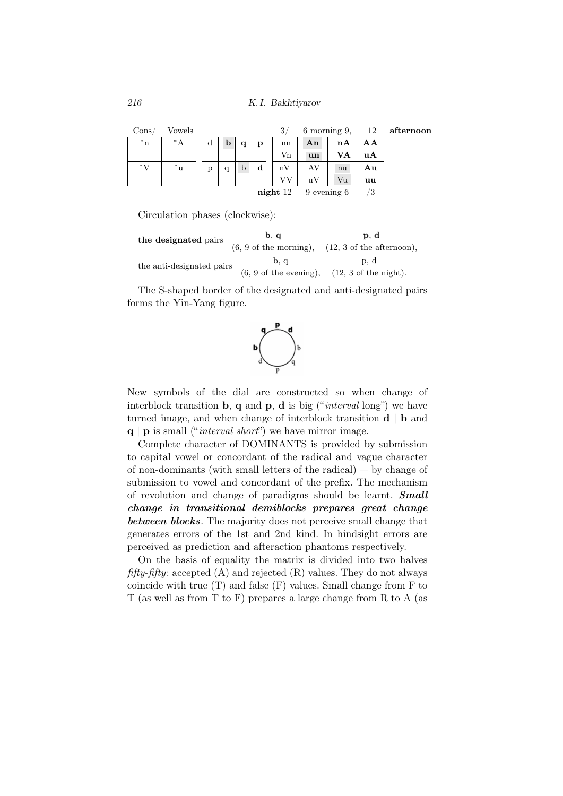*216 K. I. Bakhtiyarov*

| Cons       | Vowels |   |   |   |   | 3 <sub>1</sub>  |              | 6 morning 9, | 12 | afternoon |
|------------|--------|---|---|---|---|-----------------|--------------|--------------|----|-----------|
| $^*n$      | $^*$ A | d | b |   | р | nn              | An           | nA           | AΑ |           |
|            |        |   |   |   |   | $V_{n}$         | un           | VA           | uA |           |
| $^*V$      | $^*$ u | p | q | b | d | nV              | AV           | nu           | Αu |           |
|            |        |   |   |   |   |                 | $\mathbf{u}$ | Vu           | uu |           |
| $night$ 12 |        |   |   |   |   | $9$ evening $6$ |              | ్త           |    |           |

Circulation phases (clockwise):

the designated pairs b, q p, d<br>  $(6, 9 \text{ of the morning}),$  (12, 3 of the at  $(12, 3 \text{ of the afternoon}),$ the anti-designated pairs b, q  $\qquad p, d$  $(6, 9 \text{ of the evening}), (12, 3 \text{ of the night}).$ 

The S-shaped border of the designated and anti-designated pairs forms the Yin-Yang figure.



New symbols of the dial are constructed so when change of interblock transition b, q and p, d is big ("*interval* long") we have turned image, and when change of interblock transition d *|* b and q *|* p is small ("*interval short*") we have mirror image.

Complete character of DOMINANTS is provided by submission to capital vowel or concordant of the radical and vague character of non-dominants (with small letters of the radical) — by change of submission to vowel and concordant of the prefix. The mechanism of revolution and change of paradigms should be learnt. *Small change in transitional demiblocks prepares great change between blocks*. The majority does not perceive small change that generates errors of the 1st and 2nd kind. In hindsight errors are perceived as prediction and afteraction phantoms respectively.

On the basis of equality the matrix is divided into two halves *fifty-fifty*: accepted (A) and rejected (R) values. They do not always coincide with true (T) and false (F) values. Small change from F to T (as well as from T to F) prepares a large change from R to A (as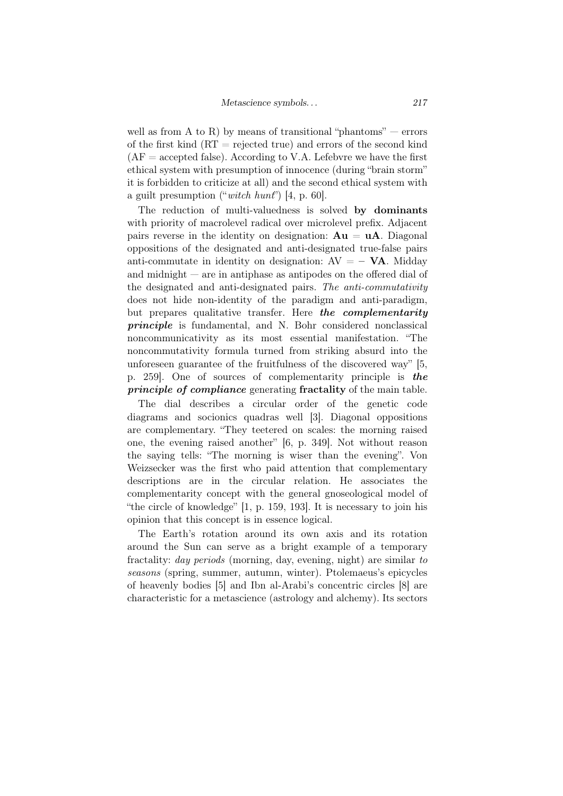well as from A to R) by means of transitional "phantoms"  $-$  errors of the first kind  $(RT =$  rejected true) and errors of the second kind  $AF = accepted$  false). According to V.A. Lefebvre we have the first ethical system with presumption of innocence (during "brain storm" it is forbidden to criticize at all) and the second ethical system with a guilt presumption ("*witch hunt*") [4, p. 60].

The reduction of multi-valuedness is solved by dominants with priority of macrolevel radical over microlevel prefix. Adjacent pairs reverse in the identity on designation:  $Au = uA$ . Diagonal oppositions of the designated and anti-designated true-false pairs anti-commutate in identity on designation:  $AV = - VA$ . Midday and midnight — are in antiphase as antipodes on the offered dial of the designated and anti-designated pairs. *The anti-commutativity* does not hide non-identity of the paradigm and anti-paradigm, but prepares qualitative transfer. Here *the complementarity principle* is fundamental, and N. Bohr considered nonclassical noncommunicativity as its most essential manifestation. "The noncommutativity formula turned from striking absurd into the unforeseen guarantee of the fruitfulness of the discovered way" [5, p. 259]. One of sources of complementarity principle is *the principle of compliance* generating fractality of the main table.

The dial describes a circular order of the genetic code diagrams and socionics quadras well [3]. Diagonal oppositions are complementary. "They teetered on scales: the morning raised one, the evening raised another" [6, p. 349]. Not without reason the saying tells: "The morning is wiser than the evening". Von Weizsecker was the first who paid attention that complementary descriptions are in the circular relation. He associates the complementarity concept with the general gnoseological model of "the circle of knowledge" [1, p. 159, 193]. It is necessary to join his opinion that this concept is in essence logical.

The Earth's rotation around its own axis and its rotation around the Sun can serve as a bright example of a temporary fractality: *day periods* (morning, day, evening, night) are similar *to seasons* (spring, summer, autumn, winter). Ptolemaeus's epicycles of heavenly bodies [5] and Ibn al-Arabi's concentric circles [8] are characteristic for a metascience (astrology and alchemy). Its sectors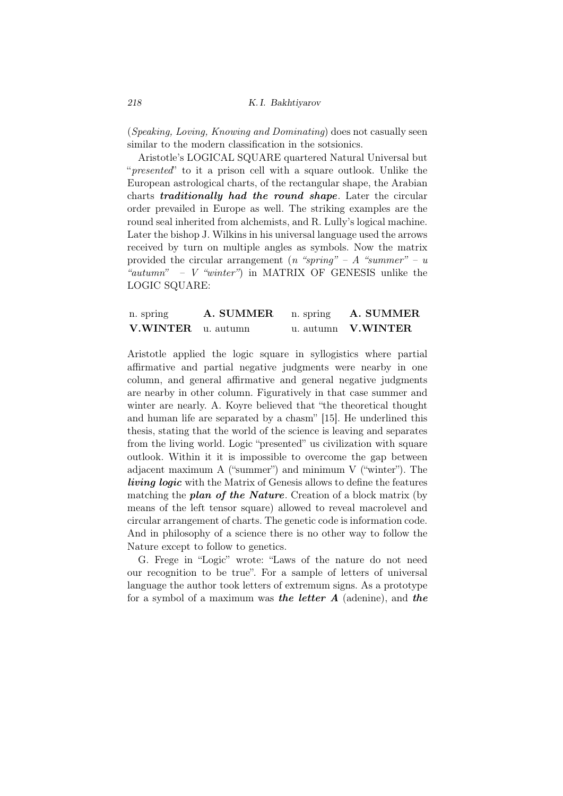(*Speaking, Loving, Knowing and Dominating*) does not casually seen similar to the modern classification in the sotsionics.

Aristotle's LOGICAL SQUARE quartered Natural Universal but "*presented*" to it a prison cell with a square outlook. Unlike the European astrological charts, of the rectangular shape, the Arabian charts *traditionally had the round shape*. Later the circular order prevailed in Europe as well. The striking examples are the round seal inherited from alchemists, and R. Lully's logical machine. Later the bishop J. Wilkins in his universal language used the arrows received by turn on multiple angles as symbols. Now the matrix provided the circular arrangement (*n "spring" – A "summer" – u "autumn" – V "winter"*) in MATRIX OF GENESIS unlike the LOGIC SQUARE:

| n. spring                 | A. SUMMER | n. spring | A. SUMMER          |
|---------------------------|-----------|-----------|--------------------|
| <b>V.WINTER</b> u. autumn |           |           | u. autumn V.WINTER |

Aristotle applied the logic square in syllogistics where partial affirmative and partial negative judgments were nearby in one column, and general affirmative and general negative judgments are nearby in other column. Figuratively in that case summer and winter are nearly. A. Koyre believed that "the theoretical thought and human life are separated by a chasm" [15]. He underlined this thesis, stating that the world of the science is leaving and separates from the living world. Logic "presented" us civilization with square outlook. Within it it is impossible to overcome the gap between adjacent maximum A ("summer") and minimum V ("winter"). The *living logic* with the Matrix of Genesis allows to define the features matching the *plan of the Nature*. Creation of a block matrix (by means of the left tensor square) allowed to reveal macrolevel and circular arrangement of charts. The genetic code is information code. And in philosophy of a science there is no other way to follow the Nature except to follow to genetics.

G. Frege in "Logic" wrote: "Laws of the nature do not need our recognition to be true". For a sample of letters of universal language the author took letters of extremum signs. As a prototype for a symbol of a maximum was *the letter A* (adenine), and *the*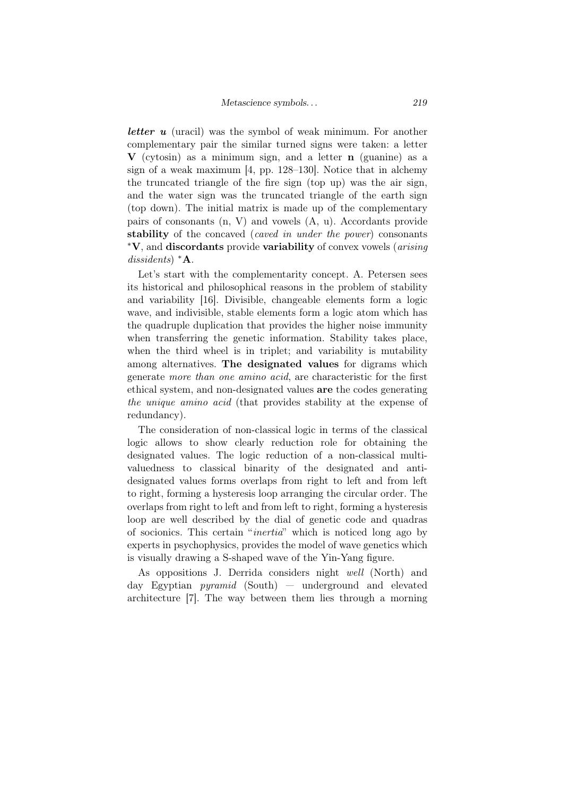*letter u* (uracil) was the symbol of weak minimum. For another complementary pair the similar turned signs were taken: a letter  $\bf{V}$  (cytosin) as a minimum sign, and a letter **n** (guanine) as a sign of a weak maximum [4, pp. 128–130]. Notice that in alchemy the truncated triangle of the fire sign (top up) was the air sign, and the water sign was the truncated triangle of the earth sign (top down). The initial matrix is made up of the complementary pairs of consonants (n, V) and vowels (A, u). Accordants provide stability of the concaved (*caved in under the power*) consonants *∗*V, and discordants provide variability of convex vowels (*arising dissidents*) *∗*A.

Let's start with the complementarity concept. A. Petersen sees its historical and philosophical reasons in the problem of stability and variability [16]. Divisible, changeable elements form a logic wave, and indivisible, stable elements form a logic atom which has the quadruple duplication that provides the higher noise immunity when transferring the genetic information. Stability takes place, when the third wheel is in triplet; and variability is mutability among alternatives. The designated values for digrams which generate *more than one amino acid*, are characteristic for the first ethical system, and non-designated values are the codes generating *the unique amino acid* (that provides stability at the expense of redundancy).

The consideration of non-classical logic in terms of the classical logic allows to show clearly reduction role for obtaining the designated values. The logic reduction of a non-classical multivaluedness to classical binarity of the designated and antidesignated values forms overlaps from right to left and from left to right, forming a hysteresis loop arranging the circular order. The overlaps from right to left and from left to right, forming a hysteresis loop are well described by the dial of genetic code and quadras of socionics. This certain "*inertia*" which is noticed long ago by experts in psychophysics, provides the model of wave genetics which is visually drawing a S-shaped wave of the Yin-Yang figure.

As oppositions J. Derrida considers night *well* (North) and day Egyptian *pyramid* (South) — underground and elevated architecture [7]. The way between them lies through a morning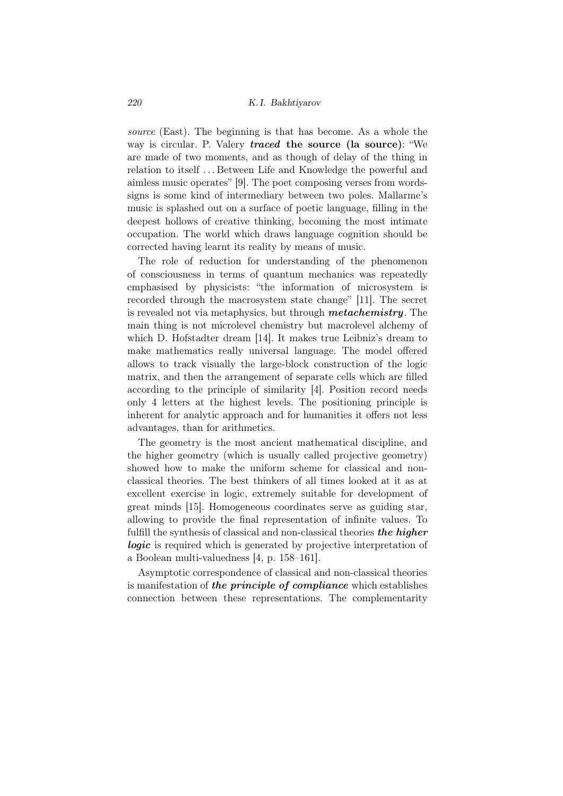#### *220 K. I. Bakhtiyarov*

*source* (East). The beginning is that has become. As a whole the way is circular. P. Valery *traced* the source (la source): "We are made of two moments, and as though of delay of the thing in relation to itself . . . Between Life and Knowledge the powerful and aimless music operates" [9]. The poet composing verses from wordssigns is some kind of intermediary between two poles. Mallarme's music is splashed out on a surface of poetic language, filling in the deepest hollows of creative thinking, becoming the most intimate occupation. The world which draws language cognition should be corrected having learnt its reality by means of music.

The role of reduction for understanding of the phenomenon of consciousness in terms of quantum mechanics was repeatedly emphasised by physicists: "the information of microsystem is recorded through the macrosystem state change" [11]. The secret is revealed not via metaphysics, but through *metachemistry*. The main thing is not microlevel chemistry but macrolevel alchemy of which D. Hofstadter dream [14]. It makes true Leibniz's dream to make mathematics really universal language. The model offered allows to track visually the large-block construction of the logic matrix, and then the arrangement of separate cells which are filled according to the principle of similarity [4]. Position record needs only 4 letters at the highest levels. The positioning principle is inherent for analytic approach and for humanities it offers not less advantages, than for arithmetics.

The geometry is the most ancient mathematical discipline, and the higher geometry (which is usually called projective geometry) showed how to make the uniform scheme for classical and nonclassical theories. The best thinkers of all times looked at it as at excellent exercise in logic, extremely suitable for development of great minds [15]. Homogeneous coordinates serve as guiding star, allowing to provide the final representation of infinite values. To fulfill the synthesis of classical and non-classical theories *the higher logic* is required which is generated by projective interpretation of a Boolean multi-valuedness [4, p. 158–161].

Asymptotic correspondence of classical and non-classical theories is manifestation of *the principle of compliance* which establishes connection between these representations. The complementarity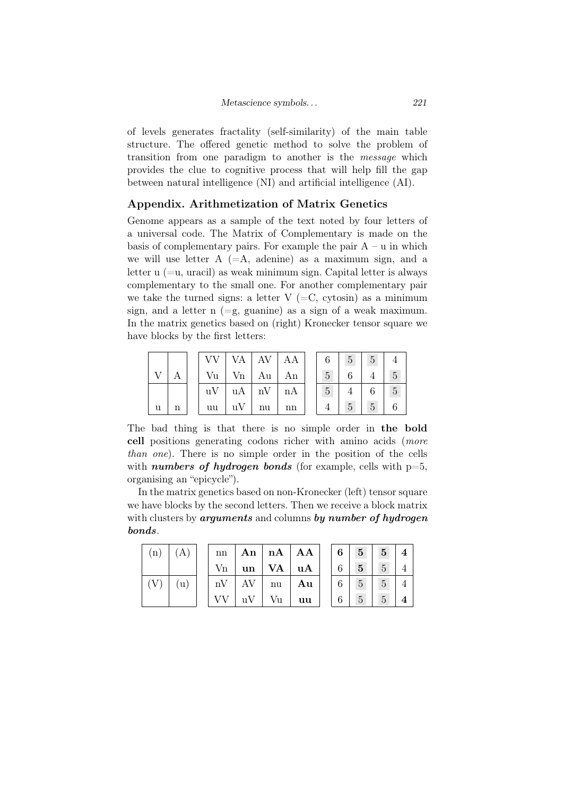of levels generates fractality (self-similarity) of the main table structure. The offered genetic method to solve the problem of transition from one paradigm to another is the *message* which provides the clue to cognitive process that will help fill the gap between natural intelligence (NI) and artificial intelligence (AI).

## Appendix. Arithmetization of Matrix Genetics

Genome appears as a sample of the text noted by four letters of a universal code. The Matrix of Complementary is made on the basis of complementary pairs. For example the pair  $A - u$  in which we will use letter  $A (=A, \text{ adenine})$  as a maximum sign, and a letter u  $(=u, uracil)$  as weak minimum sign. Capital letter is always complementary to the small one. For another complementary pair we take the turned signs: a letter  $V$  (=C, cytosin) as a minimum sign, and a letter  $n (=g, guanine)$  as a sign of a weak maximum. In the matrix genetics based on (right) Kronecker tensor square we have blocks by the first letters:

|   |   |    |                         | VA   AV   AA                 |    | 6               | $5^{\circ}$ | 5 |    |
|---|---|----|-------------------------|------------------------------|----|-----------------|-------------|---|----|
|   |   | Vu |                         | $Vn \mid Au \mid$            | An | $\overline{5}$  | 6           |   | IJ |
|   |   |    |                         | $uV \mid uA \mid nV \mid nA$ |    | $5\overline{)}$ |             | 6 | 5  |
| u | n | uu | $\mathbf{u} \mathbf{V}$ | nu                           | nn |                 | 5           | 5 |    |

The bad thing is that there is no simple order in the bold cell positions generating codons richer with amino acids (*more than one*). There is no simple order in the position of the cells with *numbers of hydrogen bonds* (for example, cells with  $p=5$ , organising an "epicycle").

In the matrix genetics based on non-Kronecker (left) tensor square we have blocks by the second letters. Then we receive a block matrix with clusters by *arguments* and columns *by number of hydrogen bonds*.

| (n)           | (A) | nn      |                         |                            | An   $nA$   AA | $\pm$ 6 $\pm$ | 5 <sub>1</sub>  | $5\overline{)}$ |  |
|---------------|-----|---------|-------------------------|----------------------------|----------------|---------------|-----------------|-----------------|--|
|               |     | $V_{n}$ |                         | $un$   VA   uA             |                | 6             | 5 <sup>5</sup>  | $5^{\circ}$     |  |
| $(V_{\rm c})$ | (u) |         |                         | $nV$   AV   nu   <b>Au</b> |                | 6             | 5 <sup>5</sup>  | $5^{\circ}$     |  |
|               |     |         | $\mathbf{u} \mathbf{V}$ | Vu                         | uu             | 6             | $5\overline{)}$ | $5\overline{)}$ |  |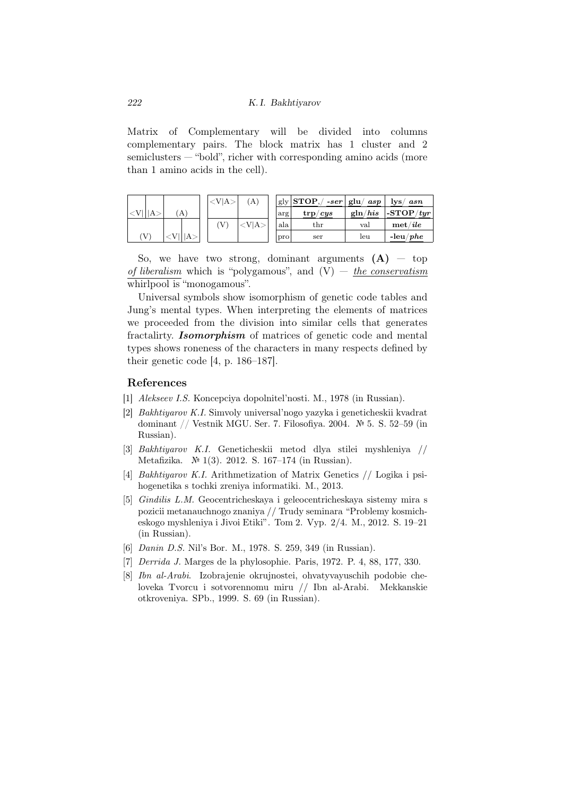Matrix of Complementary will be divided into columns complementary pairs. The block matrix has 1 cluster and 2 semiclusters — "bold", richer with corresponding amino acids (more than 1 amino acids in the cell).

|   |     | $\langle\mathrm{V}\vert\mathrm{A}\rangle$ | 'A`  |     | gly $ {\bf STOP},/$<br>$-ser$ | glu/<br>asp | $_{\rm lys/}$<br>asn          |
|---|-----|-------------------------------------------|------|-----|-------------------------------|-------------|-------------------------------|
| А | (A) |                                           |      | arg | $\text{trp}/\text{c}ys$       | g ln/his    | $ \text{-STOP}/\textit{tyr} $ |
|   |     |                                           | V A> | ala | $_{\rm thr}$                  | val         | $\mathbf{met}/ile$            |
| V |     |                                           |      | pro | ser                           | leu         | $-\mathrm{leu}/phe$           |

So, we have two strong, dominant arguments  $(A)$  – top *of liberalism* which is "polygamous", and (V) — *the conservatism* whirlpool is "monogamous".

Universal symbols show isomorphism of genetic code tables and Jung's mental types. When interpreting the elements of matrices we proceeded from the division into similar cells that generates fractalirty. *Isomorphism* of matrices of genetic code and mental types shows roneness of the characters in many respects defined by their genetic code [4, p. 186–187].

#### References

- [1] *Alekseev I.S.* Koncepciya dopolnitel'nosti. M., 1978 (in Russian).
- [2] *Bakhtiyarov K.I.* Simvoly universal'nogo yazyka i geneticheskii kvadrat dominant // Vestnik MGU. Ser. 7. Filosofiya. 2004. № 5. S. 52–59 (in Russian).
- [3] *Bakhtiyarov K.I.* Geneticheskii metod dlya stilei myshleniya // Metafizika. № 1(3). 2012. S. 167–174 (in Russian).
- [4] *Bakhtiyarov K.I.* Arithmetization of Matrix Genetics // Logika i psihogenetika s tochki zreniya informatiki. M., 2013.
- [5] *Gindilis L.M.* Geocentricheskaya i geleocentricheskaya sistemy mira s pozicii metanauchnogo znaniya // Trudy seminara "Problemy kosmicheskogo myshleniya i Jivoi Etiki". Tom 2. Vyp. 2/4. M., 2012. S. 19–21 (in Russian).
- [6] *Danin D.S.* Nil's Bor. M., 1978. S. 259, 349 (in Russian).
- [7] *Derrida J.* Marges de la phylosophie. Paris, 1972. P. 4, 88, 177, 330.
- [8] *Ibn al-Arabi*. Izobrajenie okrujnostei, ohvatyvayuschih podobie cheloveka Tvorcu i sotvorennomu miru // Ibn al-Arabi. Mekkanskie otkroveniya. SPb., 1999. S. 69 (in Russian).